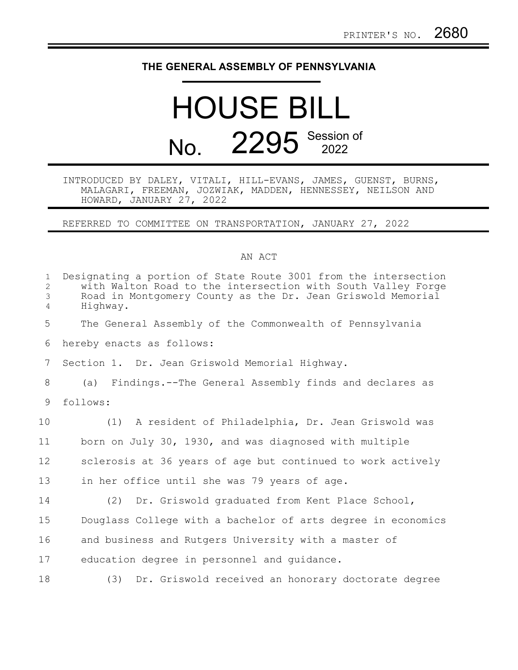## **THE GENERAL ASSEMBLY OF PENNSYLVANIA**

## HOUSE BILL No. 2295 Session of

## INTRODUCED BY DALEY, VITALI, HILL-EVANS, JAMES, GUENST, BURNS, MALAGARI, FREEMAN, JOZWIAK, MADDEN, HENNESSEY, NEILSON AND HOWARD, JANUARY 27, 2022

REFERRED TO COMMITTEE ON TRANSPORTATION, JANUARY 27, 2022

## AN ACT

| $\mathbf{1}$<br>$\mathbf{2}$<br>$\mathfrak{Z}$<br>$\overline{4}$ | Designating a portion of State Route 3001 from the intersection<br>with Walton Road to the intersection with South Valley Forge<br>Road in Montgomery County as the Dr. Jean Griswold Memorial<br>Highway. |
|------------------------------------------------------------------|------------------------------------------------------------------------------------------------------------------------------------------------------------------------------------------------------------|
| 5                                                                | The General Assembly of the Commonwealth of Pennsylvania                                                                                                                                                   |
| 6                                                                | hereby enacts as follows:                                                                                                                                                                                  |
| $7\phantom{.0}$                                                  | Section 1. Dr. Jean Griswold Memorial Highway.                                                                                                                                                             |
| 8                                                                | (a) Findings.--The General Assembly finds and declares as                                                                                                                                                  |
| 9                                                                | follows:                                                                                                                                                                                                   |
| 10                                                               | (1) A resident of Philadelphia, Dr. Jean Griswold was                                                                                                                                                      |
| 11                                                               | born on July 30, 1930, and was diagnosed with multiple                                                                                                                                                     |
| 12                                                               | sclerosis at 36 years of age but continued to work actively                                                                                                                                                |
| 13                                                               | in her office until she was 79 years of age.                                                                                                                                                               |
| 14                                                               | (2) Dr. Griswold graduated from Kent Place School,                                                                                                                                                         |
| 15                                                               | Douglass College with a bachelor of arts degree in economics                                                                                                                                               |
| 16                                                               | and business and Rutgers University with a master of                                                                                                                                                       |
| 17                                                               | education degree in personnel and quidance.                                                                                                                                                                |
| 18                                                               | Dr. Griswold received an honorary doctorate degree<br>(3)                                                                                                                                                  |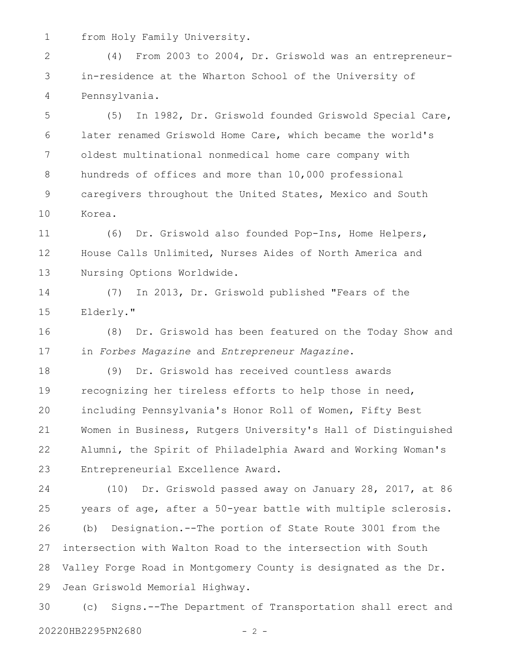from Holy Family University. 1

(4) From 2003 to 2004, Dr. Griswold was an entrepreneurin-residence at the Wharton School of the University of Pennsylvania. 2 3 4

(5) In 1982, Dr. Griswold founded Griswold Special Care, later renamed Griswold Home Care, which became the world's oldest multinational nonmedical home care company with hundreds of offices and more than 10,000 professional caregivers throughout the United States, Mexico and South Korea. 5 6 7 8 9 10

(6) Dr. Griswold also founded Pop-Ins, Home Helpers, House Calls Unlimited, Nurses Aides of North America and Nursing Options Worldwide. 11 12 13

(7) In 2013, Dr. Griswold published "Fears of the Elderly." 14 15

(8) Dr. Griswold has been featured on the Today Show and in *Forbes Magazine* and *Entrepreneur Magazine*. 16 17

(9) Dr. Griswold has received countless awards recognizing her tireless efforts to help those in need, including Pennsylvania's Honor Roll of Women, Fifty Best Women in Business, Rutgers University's Hall of Distinguished Alumni, the Spirit of Philadelphia Award and Working Woman's Entrepreneurial Excellence Award. 18 19 20 21 22 23

(10) Dr. Griswold passed away on January 28, 2017, at 86 years of age, after a 50-year battle with multiple sclerosis. (b) Designation.--The portion of State Route 3001 from the intersection with Walton Road to the intersection with South Valley Forge Road in Montgomery County is designated as the Dr. Jean Griswold Memorial Highway. 24 25 26 27 28 29

(c) Signs.--The Department of Transportation shall erect and 20220HB2295PN2680 - 2 - 30